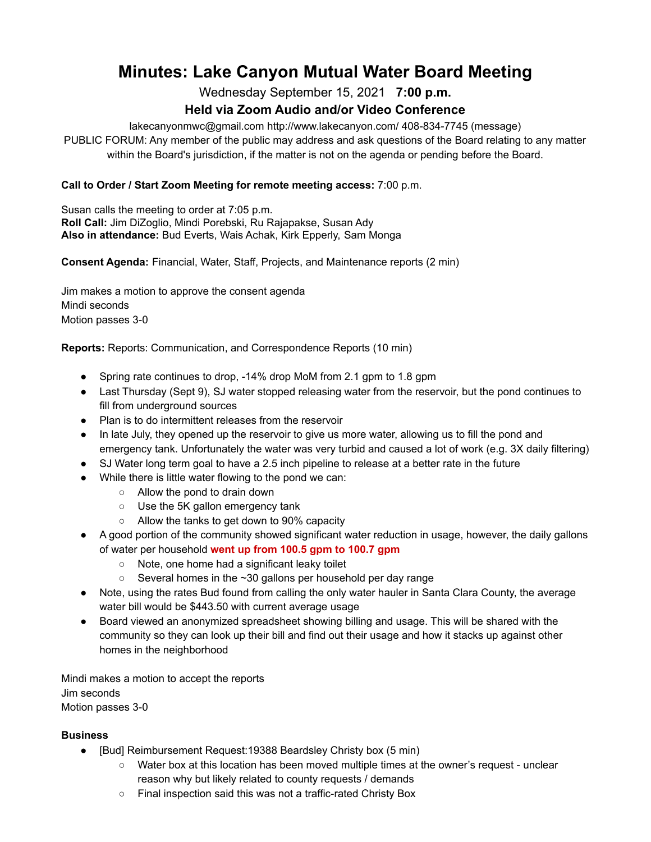# **Minutes: Lake Canyon Mutual Water Board Meeting**

Wednesday September 15, 2021 **7:00 p.m.**

# **Held via Zoom Audio and/or Video Conference**

lakecanyonmwc@gmail.com http://www.lakecanyon.com/ 408-834-7745 (message)

PUBLIC FORUM: Any member of the public may address and ask questions of the Board relating to any matter within the Board's jurisdiction, if the matter is not on the agenda or pending before the Board.

## **Call to Order / Start Zoom Meeting for remote meeting access:** 7:00 p.m.

Susan calls the meeting to order at 7:05 p.m. **Roll Call:** Jim DiZoglio, Mindi Porebski, Ru Rajapakse, Susan Ady **Also in attendance:** Bud Everts, Wais Achak, Kirk Epperly, Sam Monga

**Consent Agenda:** Financial, Water, Staff, Projects, and Maintenance reports (2 min)

Jim makes a motion to approve the consent agenda Mindi seconds Motion passes 3-0

**Reports:** Reports: Communication, and Correspondence Reports (10 min)

- Spring rate continues to drop, -14% drop MoM from 2.1 gpm to 1.8 gpm
- Last Thursday (Sept 9), SJ water stopped releasing water from the reservoir, but the pond continues to fill from underground sources
- Plan is to do intermittent releases from the reservoir
- In late July, they opened up the reservoir to give us more water, allowing us to fill the pond and emergency tank. Unfortunately the water was very turbid and caused a lot of work (e.g. 3X daily filtering)
- SJ Water long term goal to have a 2.5 inch pipeline to release at a better rate in the future
- While there is little water flowing to the pond we can:
	- Allow the pond to drain down
	- Use the 5K gallon emergency tank
	- Allow the tanks to get down to 90% capacity
- A good portion of the community showed significant water reduction in usage, however, the daily gallons of water per household **went up from 100.5 gpm to 100.7 gpm**
	- Note, one home had a significant leaky toilet
	- $\circ$  Several homes in the  $\sim$ 30 gallons per household per day range
- Note, using the rates Bud found from calling the only water hauler in Santa Clara County, the average water bill would be \$443.50 with current average usage
- Board viewed an anonymized spreadsheet showing billing and usage. This will be shared with the community so they can look up their bill and find out their usage and how it stacks up against other homes in the neighborhood

Mindi makes a motion to accept the reports Jim seconds Motion passes 3-0

### **Business**

- [Bud] Reimbursement Request:19388 Beardsley Christy box (5 min)
	- Water box at this location has been moved multiple times at the owner's request unclear reason why but likely related to county requests / demands
	- Final inspection said this was not a traffic-rated Christy Box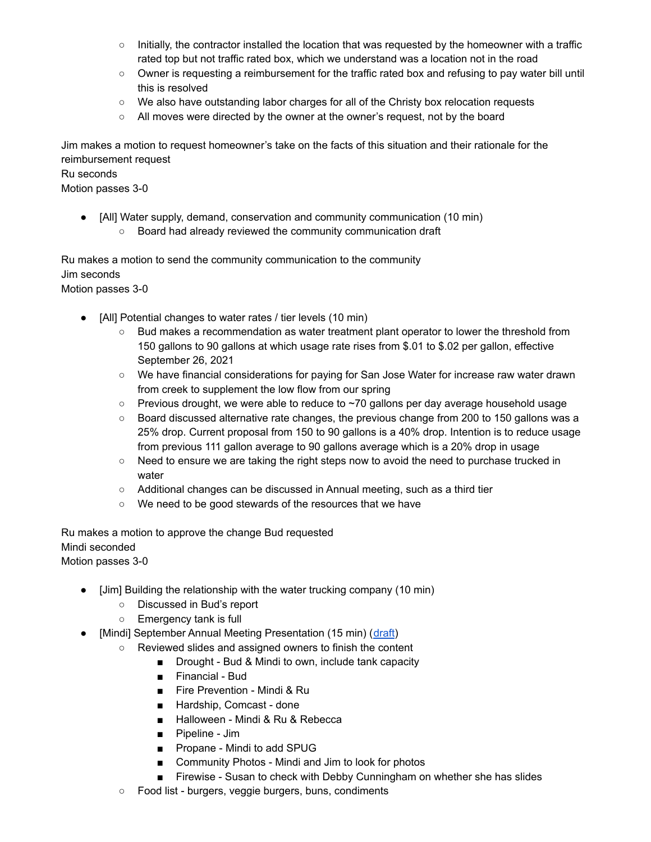- Initially, the contractor installed the location that was requested by the homeowner with a traffic rated top but not traffic rated box, which we understand was a location not in the road
- Owner is requesting a reimbursement for the traffic rated box and refusing to pay water bill until this is resolved
- We also have outstanding labor charges for all of the Christy box relocation requests
- All moves were directed by the owner at the owner's request, not by the board

Jim makes a motion to request homeowner's take on the facts of this situation and their rationale for the reimbursement request

#### Ru seconds

Motion passes 3-0

- [All] Water supply, demand, conservation and community communication (10 min)
	- Board had already reviewed the community communication draft

Ru makes a motion to send the community communication to the community Jim seconds Motion passes 3-0

- [All] Potential changes to water rates / tier levels (10 min)
	- Bud makes a recommendation as water treatment plant operator to lower the threshold from 150 gallons to 90 gallons at which usage rate rises from \$.01 to \$.02 per gallon, effective September 26, 2021
	- We have financial considerations for paying for San Jose Water for increase raw water drawn from creek to supplement the low flow from our spring
	- Previous drought, we were able to reduce to ~70 gallons per day average household usage
	- Board discussed alternative rate changes, the previous change from 200 to 150 gallons was a 25% drop. Current proposal from 150 to 90 gallons is a 40% drop. Intention is to reduce usage from previous 111 gallon average to 90 gallons average which is a 20% drop in usage
	- Need to ensure we are taking the right steps now to avoid the need to purchase trucked in water
	- Additional changes can be discussed in Annual meeting, such as a third tier
	- We need to be good stewards of the resources that we have

Ru makes a motion to approve the change Bud requested Mindi seconded Motion passes 3-0

- [Jim] Building the relationship with the water trucking company (10 min)
	- Discussed in Bud's report
	- Emergency tank is full
- [Mindi] September Annual Meeting Presentation (15 min) ([draft](https://docs.google.com/presentation/d/1zdHQx7pA7P1hhIi1JwmHzpXT_OzoJTf5h83krQR6BXM/edit#slide=id.g9a0ec3fd8a_0_86))
	- Reviewed slides and assigned owners to finish the content
		- Drought Bud & Mindi to own, include tank capacity
		- Financial Bud
		- Fire Prevention Mindi & Ru
		- Hardship, Comcast done
		- Halloween Mindi & Ru & Rebecca
		- Pipeline Jim
		- Propane Mindi to add SPUG
		- Community Photos Mindi and Jim to look for photos
		- Firewise Susan to check with Debby Cunningham on whether she has slides
	- Food list burgers, veggie burgers, buns, condiments